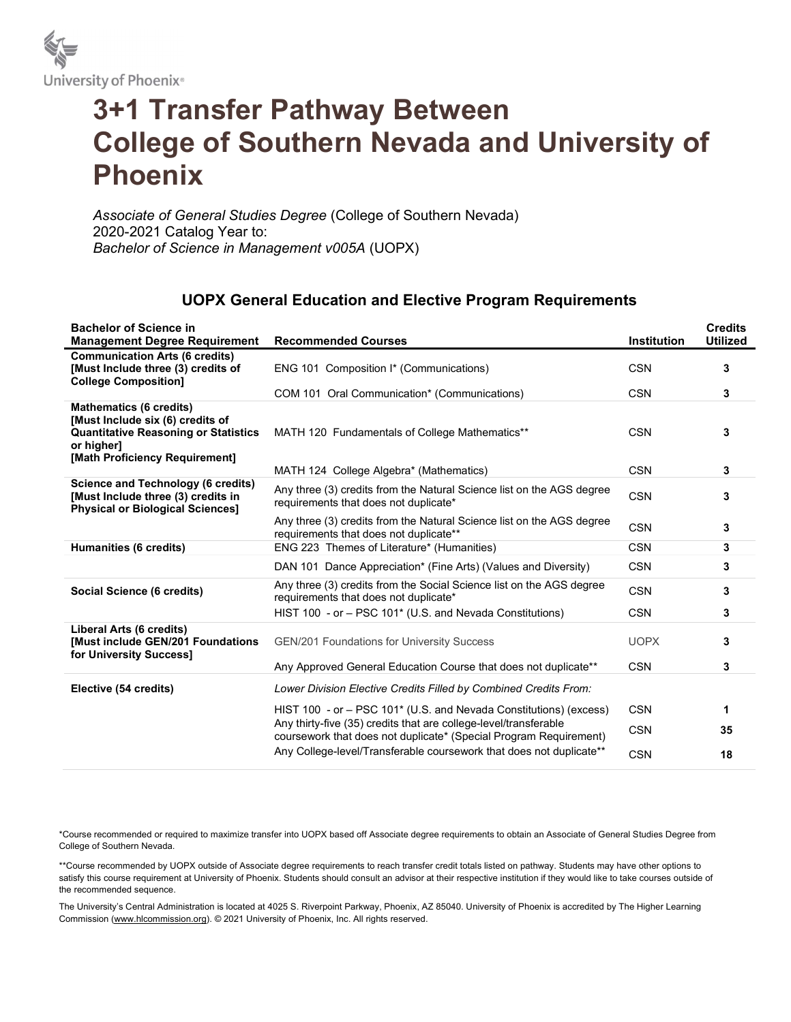

## 3+1 Transfer Pathway Between College of Southern Nevada and University of Phoenix

Associate of General Studies Degree (College of Southern Nevada) 2020-2021 Catalog Year to: Bachelor of Science in Management v005A (UOPX)

## UOPX General Education and Elective Program Requirements

| <b>Bachelor of Science in</b><br><b>Management Degree Requirement</b>                                                                                             | <b>Recommended Courses</b>                                                                                                                                                                                 | Institution | <b>Credits</b><br><b>Utilized</b> |
|-------------------------------------------------------------------------------------------------------------------------------------------------------------------|------------------------------------------------------------------------------------------------------------------------------------------------------------------------------------------------------------|-------------|-----------------------------------|
| <b>Communication Arts (6 credits)</b><br>[Must Include three (3) credits of<br><b>College Composition]</b>                                                        | ENG 101 Composition I* (Communications)                                                                                                                                                                    | <b>CSN</b>  | 3                                 |
|                                                                                                                                                                   | COM 101 Oral Communication* (Communications)                                                                                                                                                               | <b>CSN</b>  | 3                                 |
| <b>Mathematics (6 credits)</b><br>[Must Include six (6) credits of<br><b>Quantitative Reasoning or Statistics</b><br>or higher]<br>[Math Proficiency Requirement] | MATH 120 Fundamentals of College Mathematics**                                                                                                                                                             | <b>CSN</b>  | 3                                 |
|                                                                                                                                                                   | MATH 124 College Algebra* (Mathematics)                                                                                                                                                                    | <b>CSN</b>  | 3                                 |
| <b>Science and Technology (6 credits)</b><br>[Must Include three (3) credits in<br><b>Physical or Biological Sciences]</b>                                        | Any three (3) credits from the Natural Science list on the AGS degree<br>requirements that does not duplicate*                                                                                             | <b>CSN</b>  | 3                                 |
|                                                                                                                                                                   | Any three (3) credits from the Natural Science list on the AGS degree<br>requirements that does not duplicate**                                                                                            | <b>CSN</b>  | 3                                 |
| Humanities (6 credits)                                                                                                                                            | ENG 223 Themes of Literature* (Humanities)                                                                                                                                                                 | <b>CSN</b>  | 3                                 |
|                                                                                                                                                                   | DAN 101 Dance Appreciation* (Fine Arts) (Values and Diversity)                                                                                                                                             | <b>CSN</b>  | 3                                 |
| Social Science (6 credits)                                                                                                                                        | Any three (3) credits from the Social Science list on the AGS degree<br>requirements that does not duplicate*                                                                                              | <b>CSN</b>  | 3                                 |
|                                                                                                                                                                   | HIST 100 - or - PSC 101* (U.S. and Nevada Constitutions)                                                                                                                                                   | <b>CSN</b>  | 3                                 |
| Liberal Arts (6 credits)<br>Must include GEN/201 Foundations<br>for University Success]                                                                           | <b>GEN/201 Foundations for University Success</b>                                                                                                                                                          | <b>UOPX</b> | 3                                 |
|                                                                                                                                                                   | Any Approved General Education Course that does not duplicate**                                                                                                                                            | <b>CSN</b>  | 3                                 |
| Elective (54 credits)                                                                                                                                             | Lower Division Elective Credits Filled by Combined Credits From:                                                                                                                                           |             |                                   |
|                                                                                                                                                                   | HIST 100 - or - PSC 101* (U.S. and Nevada Constitutions) (excess)<br>Any thirty-five (35) credits that are college-level/transferable<br>coursework that does not duplicate* (Special Program Requirement) | <b>CSN</b>  | 1                                 |
|                                                                                                                                                                   |                                                                                                                                                                                                            | <b>CSN</b>  | 35                                |
|                                                                                                                                                                   | Any College-level/Transferable coursework that does not duplicate**                                                                                                                                        | <b>CSN</b>  | 18                                |

\*Course recommended or required to maximize transfer into UOPX based off Associate degree requirements to obtain an Associate of General Studies Degree from College of Southern Nevada.

\*\*Course recommended by UOPX outside of Associate degree requirements to reach transfer credit totals listed on pathway. Students may have other options to satisfy this course requirement at University of Phoenix. Students should consult an advisor at their respective institution if they would like to take courses outside of the recommended sequence.

The University's Central Administration is located at 4025 S. Riverpoint Parkway, Phoenix, AZ 85040. University of Phoenix is accredited by The Higher Learning Commission (www.hlcommission.org). © 2021 University of Phoenix, Inc. All rights reserved.